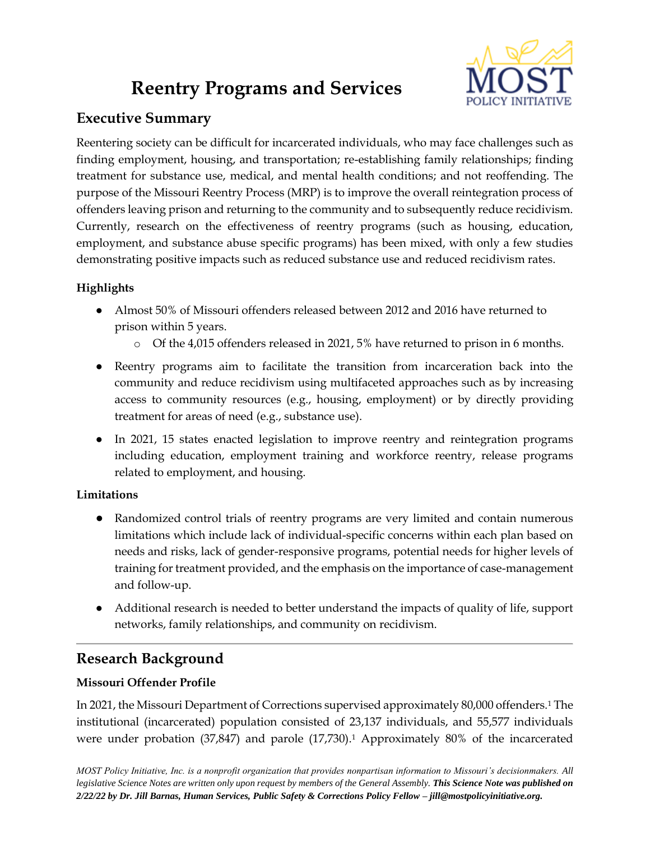# **Reentry Programs and Services**



# **Executive Summary**

Reentering society can be difficult for incarcerated individuals, who may face challenges such as finding employment, housing, and transportation; re-establishing family relationships; finding treatment for substance use, medical, and mental health conditions; and not reoffending. The purpose of the Missouri Reentry Process (MRP) is to improve the overall reintegration process of offenders leaving prison and returning to the community and to subsequently reduce recidivism. Currently, research on the effectiveness of reentry programs (such as housing, education, employment, and substance abuse specific programs) has been mixed, with only a few studies demonstrating positive impacts such as reduced substance use and reduced recidivism rates.

# **Highlights**

- Almost 50% of Missouri offenders released between 2012 and 2016 have returned to prison within 5 years.
	- o Of the 4,015 offenders released in 2021, 5% have returned to prison in 6 months.
- Reentry programs aim to facilitate the transition from incarceration back into the community and reduce recidivism using multifaceted approaches such as by increasing access to community resources (e.g., housing, employment) or by directly providing treatment for areas of need (e.g., substance use).
- In 2021, 15 states enacted legislation to improve reentry and reintegration programs including education, employment training and workforce reentry, release programs related to employment, and housing.

# **Limitations**

- Randomized control trials of reentry programs are very limited and contain numerous limitations which include lack of individual-specific concerns within each plan based on needs and risks, lack of gender-responsive programs, potential needs for higher levels of training for treatment provided, and the emphasis on the importance of case-management and follow-up.
- Additional research is needed to better understand the impacts of quality of life, support networks, family relationships, and community on recidivism.

# **Research Background**

# **Missouri Offender Profile**

In 2021, the Missouri Department of Corrections supervised approximately 80,000 offenders.<sup>1</sup> The institutional (incarcerated) population consisted of 23,137 individuals, and 55,577 individuals were under probation (37,847) and parole (17,730).<sup>1</sup> Approximately 80% of the incarcerated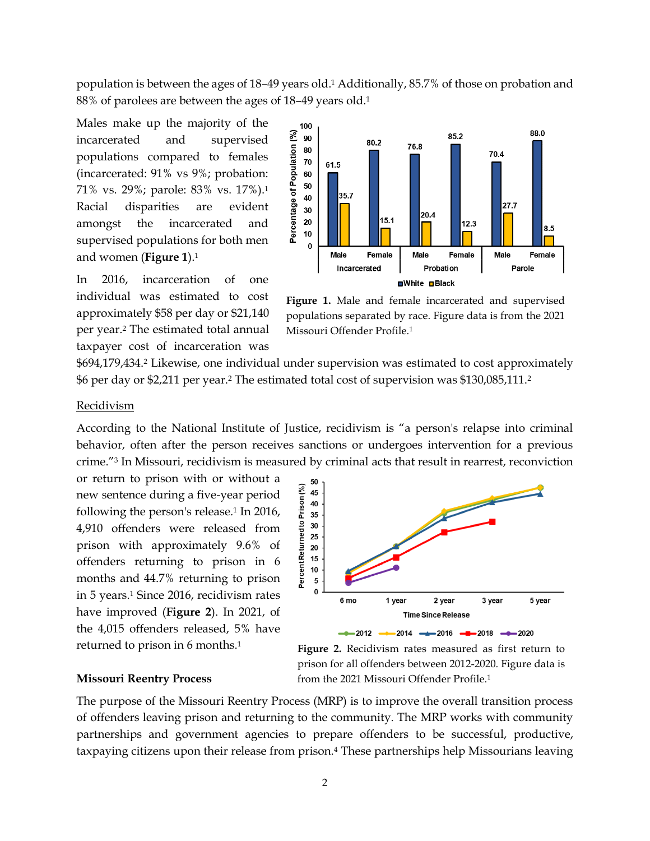population is between the ages of 18–49 years old.<sup>1</sup> Additionally, 85.7% of those on probation and 88% of parolees are between the ages of 18–49 years old.<sup>1</sup>

Males make up the majority of the incarcerated and supervised populations compared to females (incarcerated: 91% vs 9%; probation: 71% vs. 29%; parole: 83% vs. 17%).<sup>1</sup> Racial disparities are evident amongst the incarcerated and supervised populations for both men and women (**Figure 1**).<sup>1</sup>

In 2016, incarceration of one individual was estimated to cost approximately \$58 per day or \$21,140 per year.<sup>2</sup> The estimated total annual taxpayer cost of incarceration was



**Figure 1.** Male and female incarcerated and supervised populations separated by race. Figure data is from the 2021 Missouri Offender Profile.1

\$694,179,434.<sup>2</sup> Likewise, one individual under supervision was estimated to cost approximately \$6 per day or \$2,211 per year.<sup>2</sup> The estimated total cost of supervision was \$130,085,111.<sup>2</sup>

#### Recidivism

According to the National Institute of Justice, recidivism is "a person's relapse into criminal behavior, often after the person receives sanctions or undergoes intervention for a previous crime."<sup>3</sup> In Missouri, recidivism is measured by criminal acts that result in rearrest, reconviction

or return to prison with or without a new sentence during a five-year period following the person's release.<sup>1</sup> In 2016, 4,910 offenders were released from prison with approximately 9.6% of offenders returning to prison in 6 months and 44.7% returning to prison in 5 years.<sup>1</sup> Since 2016, recidivism rates have improved (**Figure 2**). In 2021, of the 4,015 offenders released, 5% have returned to prison in 6 months.<sup>1</sup>



**Figure 2.** Recidivism rates measured as first return to prison for all offenders between 2012-2020. Figure data is from the 2021 Missouri Offender Profile.<sup>1</sup>

#### **Missouri Reentry Process**

The purpose of the Missouri Reentry Process (MRP) is to improve the overall transition process of offenders leaving prison and returning to the community. The MRP works with community partnerships and government agencies to prepare offenders to be successful, productive, taxpaying citizens upon their release from prison.<sup>4</sup> These partnerships help Missourians leaving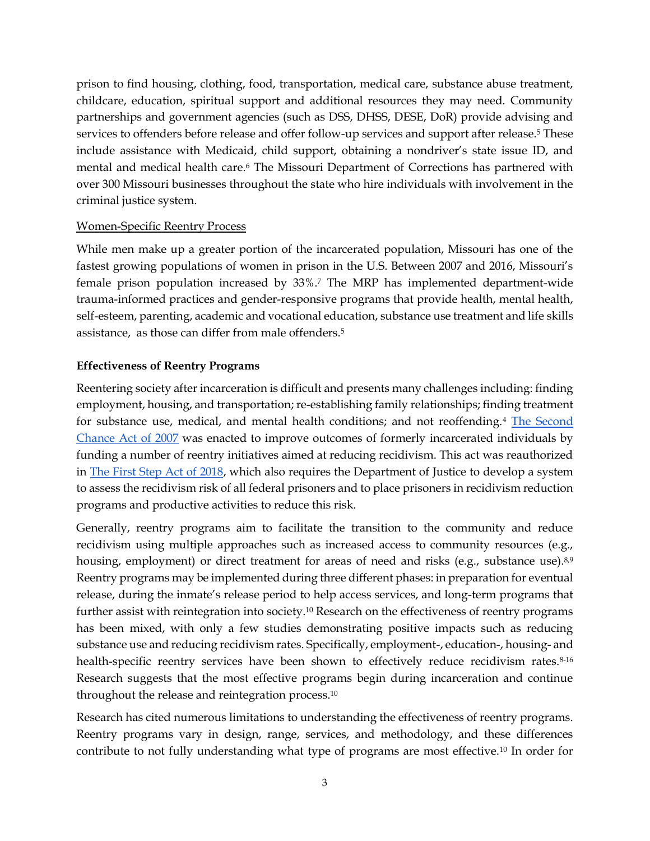prison to find housing, clothing, food, transportation, medical care, substance abuse treatment, childcare, education, spiritual support and additional resources they may need. Community partnerships and government agencies (such as DSS, DHSS, DESE, DoR) provide advising and services to offenders before release and offer follow-up services and support after release.<sup>5</sup> These include assistance with Medicaid, child support, obtaining a nondriver's state issue ID, and mental and medical health care.<sup>6</sup> The Missouri Department of Corrections has partnered with over 300 Missouri businesses throughout the state who hire individuals with involvement in the criminal justice system.

### Women-Specific Reentry Process

While men make up a greater portion of the incarcerated population, Missouri has one of the fastest growing populations of women in prison in the U.S. Between 2007 and 2016, Missouri's female prison population increased by 33%.<sup>7</sup> The MRP has implemented department-wide trauma-informed practices and gender-responsive programs that provide health, mental health, self-esteem, parenting, academic and vocational education, substance use treatment and life skills assistance, as those can differ from male offenders.<sup>5</sup>

### **Effectiveness of Reentry Programs**

Reentering society after incarceration is difficult and presents many challenges including: finding employment, housing, and transportation; re-establishing family relationships; finding treatment for substance use, medical, and mental health conditions; and not reoffending.<sup>4</sup> [The Second](https://www.congress.gov/bill/110th-congress/house-bill/1593)  [Chance Act of 2007](https://www.congress.gov/bill/110th-congress/house-bill/1593) was enacted to improve outcomes of formerly incarcerated individuals by funding a number of reentry initiatives aimed at reducing recidivism. This act was reauthorized in [The First Step Act of 2018,](https://crsreports.congress.gov/product/pdf/R/R45558) which also requires the Department of Justice to develop a system to assess the recidivism risk of all federal prisoners and to place prisoners in recidivism reduction programs and productive activities to reduce this risk.

Generally, reentry programs aim to facilitate the transition to the community and reduce recidivism using multiple approaches such as increased access to community resources (e.g., housing, employment) or direct treatment for areas of need and risks (e.g., substance use).<sup>8,9</sup> Reentry programs may be implemented during three different phases: in preparation for eventual release, during the inmate's release period to help access services, and long-term programs that further assist with reintegration into society.<sup>10</sup> Research on the effectiveness of reentry programs has been mixed, with only a few studies demonstrating positive impacts such as reducing substance use and reducing recidivism rates. Specifically, employment-, education-, housing- and health-specific reentry services have been shown to effectively reduce recidivism rates.<sup>8-16</sup> Research suggests that the most effective programs begin during incarceration and continue throughout the release and reintegration process.<sup>10</sup>

Research has cited numerous limitations to understanding the effectiveness of reentry programs. Reentry programs vary in design, range, services, and methodology, and these differences contribute to not fully understanding what type of programs are most effective.<sup>10</sup> In order for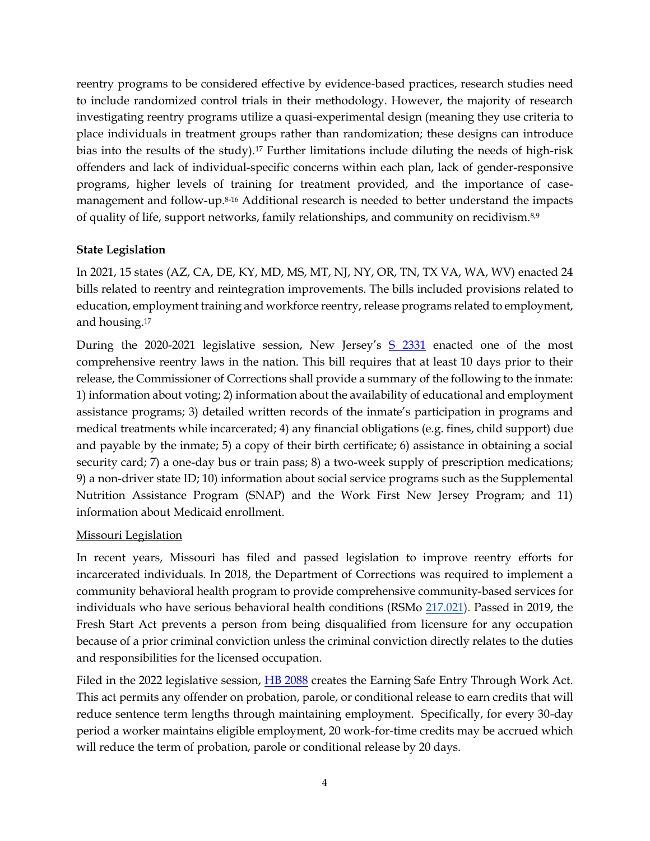reentry programs to be considered effective by evidence-based practices, research studies need to include randomized control trials in their methodology. However, the majority of research investigating reentry programs utilize a quasi-experimental design (meaning they use criteria to place individuals in treatment groups rather than randomization; these designs can introduce bias into the results of the study).<sup>17</sup> Further limitations include diluting the needs of high-risk offenders and lack of individual-specific concerns within each plan, lack of gender-responsive programs, higher levels of training for treatment provided, and the importance of casemanagement and follow-up.8-16 Additional research is needed to better understand the impacts of quality of life, support networks, family relationships, and community on recidivism.8,9

### **State Legislation**

In 2021, 15 states (AZ, CA, DE, KY, MD, MS, MT, NJ, NY, OR, TN, TX VA, WA, WV) enacted 24 bills related to reentry and reintegration improvements. The bills included provisions related to education, employment training and workforce reentry, release programs related to employment, and housing.<sup>17</sup>

During the 2020-2021 legislative session, New Jersey's [S 2331](https://www.njleg.state.nj.us/bill-search/2020/S2331) enacted one of the most comprehensive reentry laws in the nation. This bill requires that at least 10 days prior to their release, the Commissioner of Corrections shall provide a summary of the following to the inmate: 1) information about voting; 2) information about the availability of educational and employment assistance programs; 3) detailed written records of the inmate's participation in programs and medical treatments while incarcerated; 4) any financial obligations (e.g. fines, child support) due and payable by the inmate; 5) a copy of their birth certificate; 6) assistance in obtaining a social security card; 7) a one-day bus or train pass; 8) a two-week supply of prescription medications; 9) a non-driver state ID; 10) information about social service programs such as the Supplemental Nutrition Assistance Program (SNAP) and the Work First New Jersey Program; and 11) information about Medicaid enrollment.

### Missouri Legislation

In recent years, Missouri has filed and passed legislation to improve reentry efforts for incarcerated individuals. In 2018, the Department of Corrections was required to implement a community behavioral health program to provide comprehensive community-based services for individuals who have serious behavioral health conditions (RSMo [217.021\)](https://revisor.mo.gov/main/OneSection.aspx?section=217.021&bid=35646&hl=). Passed in 2019, the Fresh Start Act prevents a person from being disqualified from licensure for any occupation because of a prior criminal conviction unless the criminal conviction directly relates to the duties and responsibilities for the licensed occupation.

Filed in the 2022 legislative session, [HB 2088](https://house.mo.gov/Bill.aspx?bill=HB2088&year=2022&code=R) creates the Earning Safe Entry Through Work Act. This act permits any offender on probation, parole, or conditional release to earn credits that will reduce sentence term lengths through maintaining employment. Specifically, for every 30-day period a worker maintains eligible employment, 20 work-for-time credits may be accrued which will reduce the term of probation, parole or conditional release by 20 days.